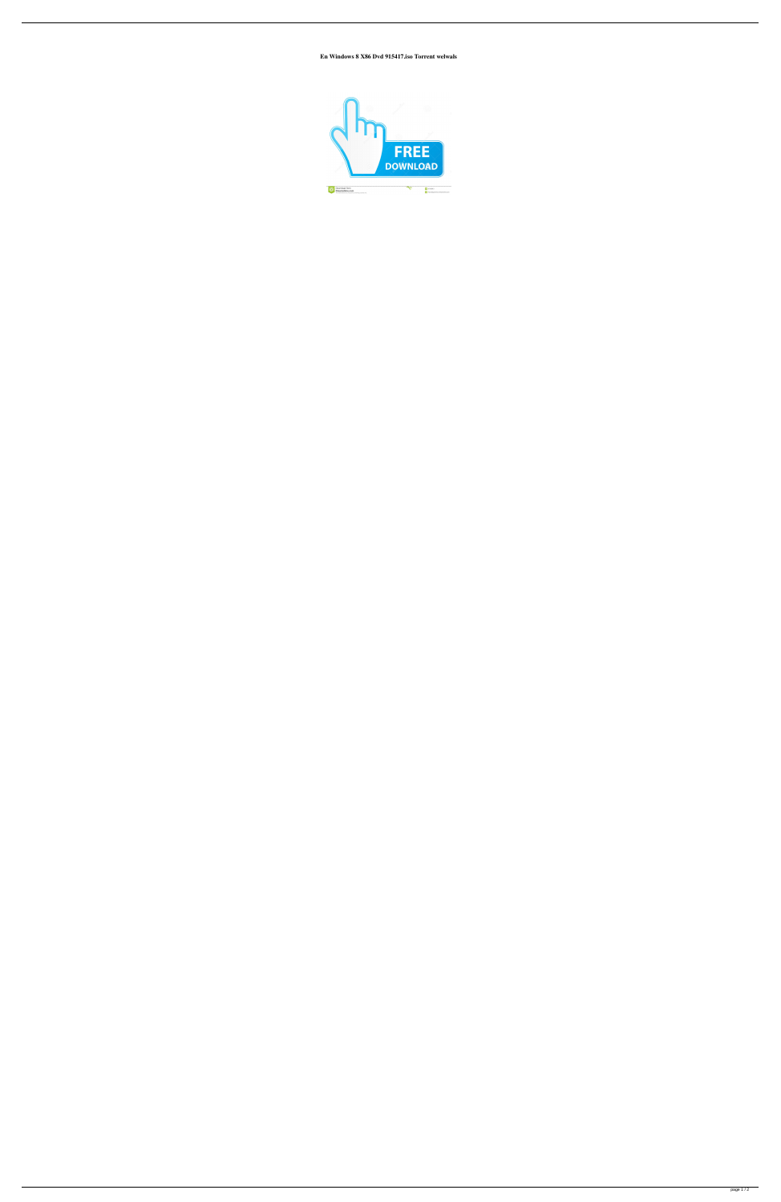**En Windows 8 X86 Dvd 915417.iso Torrent welwals**